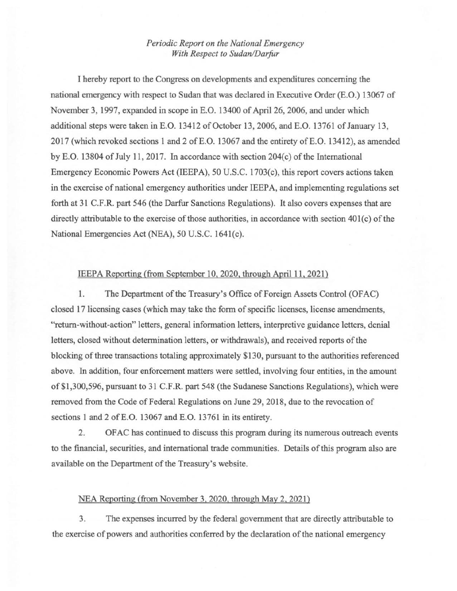## *Periodic Report on the National Emergency With Respect to Sudan/Darfur*

I hereby report to the Congress on developments and expenditures concerning the national emergency with respect to Sudan that was declared in Executive Order (E.O.) 13067 of November 3, 1997, expanded in scope in E.O. 13400 of April26, 2006, and under which additional steps were taken in E.O. 13412 of October 13, 2006, and E.O. 13761 of January 13, 2017 (which revoked sections 1 and 2 ofE.O. 13067 and the entirety ofE.O. 13412), as amended by E.O. 13804 of July 11, 2017. In accordance with section 204(c) of the International Emergency Economic Powers Act (IEEPA), 50 U.S.C. 1703(c), this report covers actions taken in the exercise of national emergency authorities under IEEPA, and implementing regulations set forth at 31 C.F.R. part 546 (the Darfur Sanctions Regulations). It also covers expenses that are directly attributable to the exercise of those authorities, in accordance with section 401(c) of the National Emergencies Act (NEA), 50 U.S.C. 1641(c).

## IEEPA Reporting (from September 10, 2020, through April 11, 2021)

1. The Department of the Treasury's Office of Foreign Assets Control (OFAC) closed 17 licensing cases (which may take the form of specific licenses, license amendments, "return-without-action" letters, general information letters, interpretive guidance letters, denial letters, closed without determination letters, or withdrawals), and received reports of the blocking of three transactions totaling approximately \$130, pursuant to the authorities referenced above. In addition, four enforcement matters were settled, involving four entities, in the amount of\$1,300,596, pursuant to 31 C.F.R. part 548 (the Sudanese Sanctions Regulations), which were removed from the Code of Federal Regulations on June 29,2018, due to the revocation of sections 1 and 2 of E.O. 13067 and E.O. 13761 in its entirety.

2. OF AC has continued to discuss this program during its numerous outreach events to the fmancial, securities, and international trade communities. Details of this program also are available on the Department of the Treasury's website.

## NEA Reporting (from November 3, 2020, through May 2. 2021)

3. The expenses incurred by the federal government that are directly attributable to the exercise of powers and authorities conferred by the declaration of the national emergency